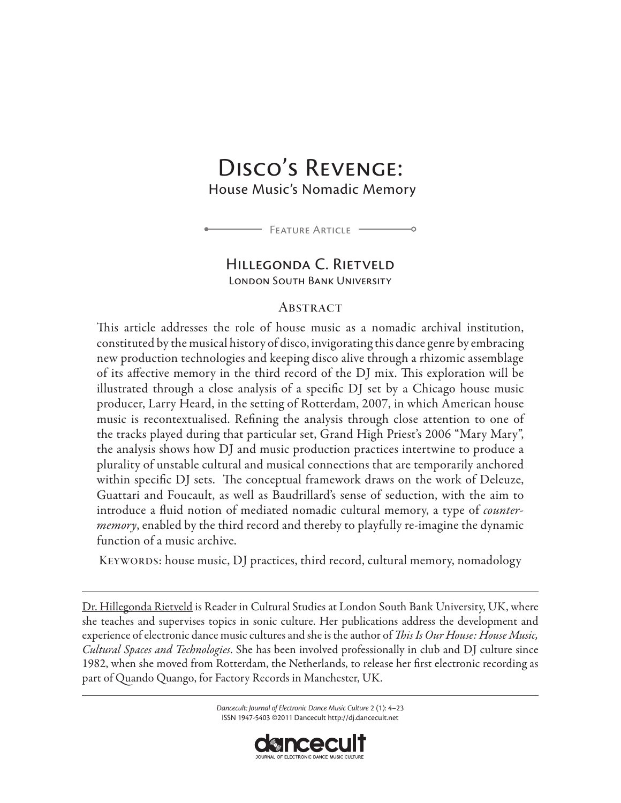# Disco's Revenge:

House Music's Nomadic Memory



# Hillegonda C. Rietveld

LONDON SOUTH BANK UNIVERSITY

## **ABSTRACT**

This article addresses the role of house music as a nomadic archival institution, constituted by the musical history of disco, invigorating this dance genre by embracing new production technologies and keeping disco alive through a rhizomic assemblage of its affective memory in the third record of the DJ mix. This exploration will be illustrated through a close analysis of a specific DJ set by a Chicago house music producer, Larry Heard, in the setting of Rotterdam, 2007, in which American house music is recontextualised. Refining the analysis through close attention to one of the tracks played during that particular set, Grand High Priest's 2006 "Mary Mary", the analysis shows how DJ and music production practices intertwine to produce a plurality of unstable cultural and musical connections that are temporarily anchored within specific DJ sets. The conceptual framework draws on the work of Deleuze, Guattari and Foucault, as well as Baudrillard's sense of seduction, with the aim to introduce a fluid notion of mediated nomadic cultural memory, a type of *countermemory*, enabled by the third record and thereby to playfully re-imagine the dynamic function of a music archive.

KEYWORDS: house music, DJ practices, third record, cultural memory, nomadology

[Dr. Hillegonda Rietveld](https://phonebook.lsbu.ac.uk/php5/person.php?name=rietveld.h) is Reader in Cultural Studies at London South Bank University, UK, where she teaches and supervises topics in sonic culture. Her publications address the development and experience of electronic dance music cultures and she is the author of *This Is Our House: House Music, Cultural Spaces and Technologies*. She has been involved professionally in club and DJ culture since 1982, when she moved from Rotterdam, the Netherlands, to release her first electronic recording as part of Quando Quango, for Factory Records in Manchester, UK.

> *Dancecult: Journal of Electronic Dance Music Culture* 2 (1): 4–23 ISSN 1947-5403 ©2011 Dancecult http://dj.dancecult.net

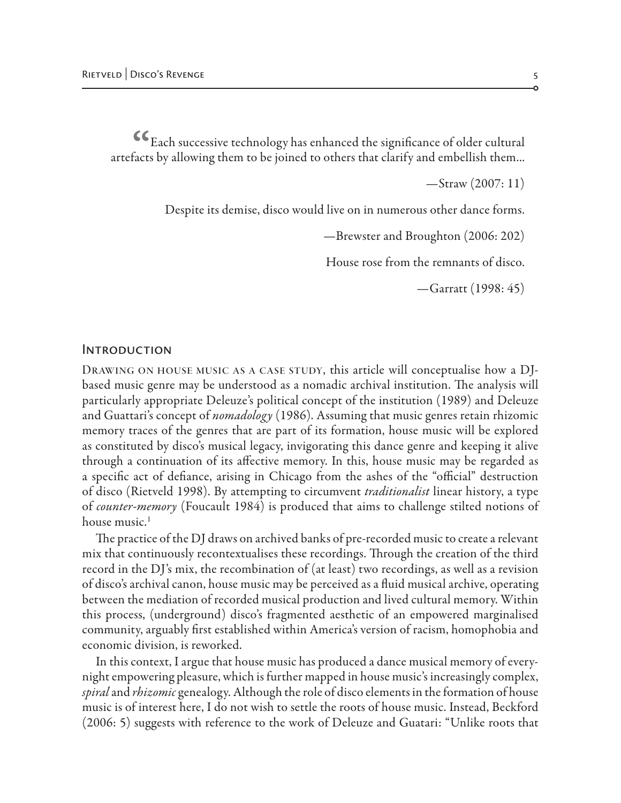$\epsilon_{\rm Each\ successive\ technology}$  has enhanced the significance of older cultural artefacts by allowing them to be joined to others that clarify and embellish them...

—Straw (2007: 11)

Despite its demise, disco would live on in numerous other dance forms.

—Brewster and Broughton (2006: 202)

House rose from the remnants of disco.

—Garratt (1998: 45)

#### **INTRODUCTION**

DRAWING ON HOUSE MUSIC AS A CASE STUDY, this article will conceptualise how a DJbased music genre may be understood as a nomadic archival institution. The analysis will particularly appropriate Deleuze's political concept of the institution (1989) and Deleuze and Guattari's concept of *nomadology* (1986). Assuming that music genres retain rhizomic memory traces of the genres that are part of its formation, house music will be explored as constituted by disco's musical legacy, invigorating this dance genre and keeping it alive through a continuation of its affective memory. In this, house music may be regarded as a specific act of defiance, arising in Chicago from the ashes of the "official" destruction of disco (Rietveld 1998). By attempting to circumvent *traditionalist* linear history, a type of *counter-memory* (Foucault 1984) is produced that aims to challenge stilted notions of house music.<sup>1</sup>

The practice of the DJ draws on archived banks of pre-recorded music to create a relevant mix that continuously recontextualises these recordings. Through the creation of the third record in the DJ's mix, the recombination of (at least) two recordings, as well as a revision of disco's archival canon, house music may be perceived as a fluid musical archive, operating between the mediation of recorded musical production and lived cultural memory. Within this process, (underground) disco's fragmented aesthetic of an empowered marginalised community, arguably first established within America's version of racism, homophobia and economic division, is reworked.

In this context, I argue that house music has produced a dance musical memory of everynight empowering pleasure, which is further mapped in house music's increasingly complex, *spiral* and *rhizomic* genealogy. Although the role of disco elements in the formation of house music is of interest here, I do not wish to settle the roots of house music. Instead, Beckford (2006: 5) suggests with reference to the work of Deleuze and Guatari: "Unlike roots that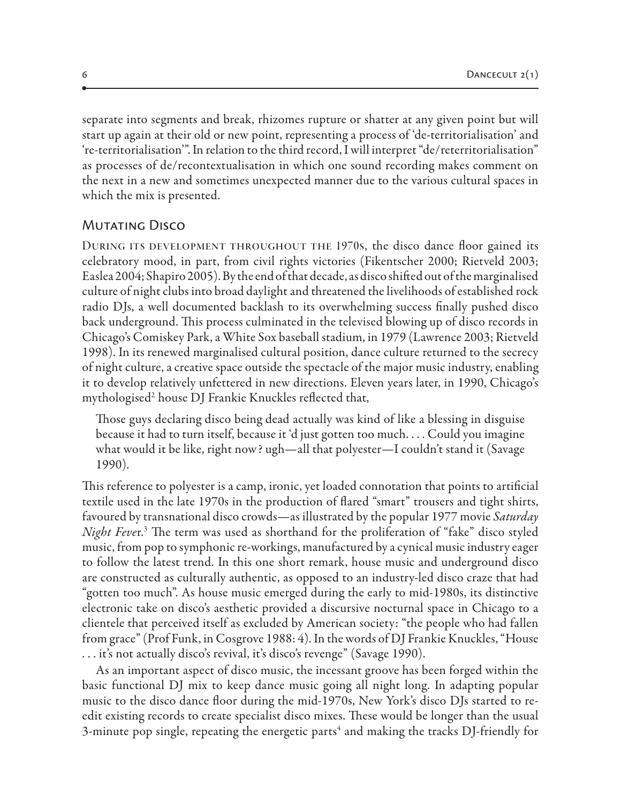separate into segments and break, rhizomes rupture or shatter at any given point but will start up again at their old or new point, representing a process of 'de-territorialisation' and 're-territorialisation'". In relation to the third record, I will interpret "de/reterritorialisation" as processes of de/recontextualisation in which one sound recording makes comment on the next in a new and sometimes unexpected manner due to the various cultural spaces in which the mix is presented.

# Mutating Disco

DURING ITS DEVELOPMENT THROUGHOUT THE 1970s, the disco dance floor gained its celebratory mood, in part, from civil rights victories (Fikentscher 2000; Rietveld 2003; Easlea 2004; Shapiro 2005). By the end of that decade, as disco shifted out of the marginalised culture of night clubs into broad daylight and threatened the livelihoods of established rock radio DJs, a well documented backlash to its overwhelming success finally pushed disco back underground. This process culminated in the televised blowing up of disco records in Chicago's Comiskey Park, a White Sox baseball stadium, in 1979 (Lawrence 2003; Rietveld 1998). In its renewed marginalised cultural position, dance culture returned to the secrecy of night culture, a creative space outside the spectacle of the major music industry, enabling it to develop relatively unfettered in new directions. Eleven years later, in 1990, Chicago's mythologised2 house DJ Frankie Knuckles reflected that,

Those guys declaring disco being dead actually was kind of like a blessing in disguise because it had to turn itself, because it 'd just gotten too much. . . . Could you imagine what would it be like, right now? ugh—all that polyester—I couldn't stand it (Savage 1990).

This reference to polyester is a camp, ironic, yet loaded connotation that points to artificial textile used in the late 1970s in the production of flared "smart" trousers and tight shirts, favoured by transnational disco crowds—as illustrated by the popular 1977 movie *Saturday Night Feve*r.3 The term was used as shorthand for the proliferation of "fake" disco styled music, from pop to symphonic re-workings, manufactured by a cynical music industry eager to follow the latest trend. In this one short remark, house music and underground disco are constructed as culturally authentic, as opposed to an industry-led disco craze that had "gotten too much". As house music emerged during the early to mid-1980s, its distinctive electronic take on disco's aesthetic provided a discursive nocturnal space in Chicago to a clientele that perceived itself as excluded by American society: "the people who had fallen from grace" (Prof Funk, in Cosgrove 1988: 4). In the words of DJ Frankie Knuckles, "House . . . it's not actually disco's revival, it's disco's revenge" (Savage 1990).

As an important aspect of disco music, the incessant groove has been forged within the basic functional DJ mix to keep dance music going all night long. In adapting popular music to the disco dance floor during the mid-1970s, New York's disco DJs started to reedit existing records to create specialist disco mixes. These would be longer than the usual 3-minute pop single, repeating the energetic parts $^4$  and making the tracks DJ-friendly for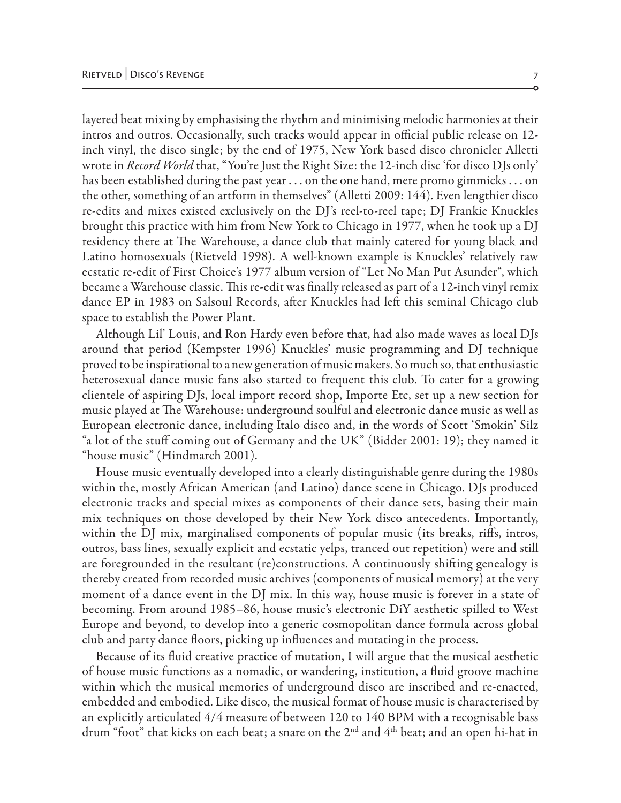layered beat mixing by emphasising the rhythm and minimising melodic harmonies at their intros and outros. Occasionally, such tracks would appear in official public release on 12 inch vinyl, the disco single; by the end of 1975, New York based disco chronicler Alletti wrote in *Record World* that, "You're Just the Right Size: the 12-inch disc 'for disco DJs only' has been established during the past year . . . on the one hand, mere promo gimmicks . . . on the other, something of an artform in themselves" (Alletti 2009: 144). Even lengthier disco re-edits and mixes existed exclusively on the DJ's reel-to-reel tape; DJ Frankie Knuckles brought this practice with him from New York to Chicago in 1977, when he took up a DJ residency there at The Warehouse, a dance club that mainly catered for young black and Latino homosexuals (Rietveld 1998). A well-known example is Knuckles' relatively raw ecstatic re-edit of First Choice's 1977 album version of "Let No Man Put Asunder", which became a Warehouse classic. This re-edit was finally released as part of a 12-inch vinyl remix dance EP in 1983 on Salsoul Records, after Knuckles had left this seminal Chicago club space to establish the Power Plant.

Although Lil' Louis, and Ron Hardy even before that, had also made waves as local DJs around that period (Kempster 1996) Knuckles' music programming and DJ technique proved to be inspirational to a new generation of music makers. So much so, that enthusiastic heterosexual dance music fans also started to frequent this club. To cater for a growing clientele of aspiring DJs, local import record shop, Importe Etc, set up a new section for music played at The Warehouse: underground soulful and electronic dance music as well as European electronic dance, including Italo disco and, in the words of Scott 'Smokin' Silz "a lot of the stuff coming out of Germany and the UK" (Bidder 2001: 19); they named it "house music" (Hindmarch 2001).

House music eventually developed into a clearly distinguishable genre during the 1980s within the, mostly African American (and Latino) dance scene in Chicago. DJs produced electronic tracks and special mixes as components of their dance sets, basing their main mix techniques on those developed by their New York disco antecedents. Importantly, within the DJ mix, marginalised components of popular music (its breaks, riffs, intros, outros, bass lines, sexually explicit and ecstatic yelps, tranced out repetition) were and still are foregrounded in the resultant (re)constructions. A continuously shifting genealogy is thereby created from recorded music archives (components of musical memory) at the very moment of a dance event in the DJ mix. In this way, house music is forever in a state of becoming. From around 1985–86, house music's electronic DiY aesthetic spilled to West Europe and beyond, to develop into a generic cosmopolitan dance formula across global club and party dance floors, picking up influences and mutating in the process.

Because of its fluid creative practice of mutation, I will argue that the musical aesthetic of house music functions as a nomadic, or wandering, institution, a fluid groove machine within which the musical memories of underground disco are inscribed and re-enacted, embedded and embodied. Like disco, the musical format of house music is characterised by an explicitly articulated 4/4 measure of between 120 to 140 BPM with a recognisable bass drum "foot" that kicks on each beat; a snare on the  $2<sup>nd</sup>$  and  $4<sup>th</sup>$  beat; and an open hi-hat in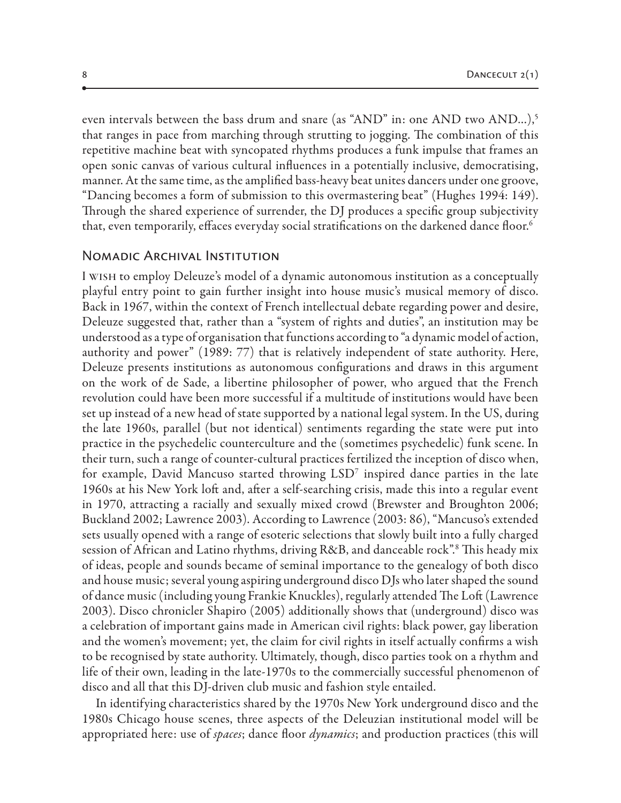even intervals between the bass drum and snare (as "AND" in: one AND two AND...),<sup>5</sup> that ranges in pace from marching through strutting to jogging. The combination of this repetitive machine beat with syncopated rhythms produces a funk impulse that frames an open sonic canvas of various cultural influences in a potentially inclusive, democratising, manner. At the same time, as the amplified bass-heavy beat unites dancers under one groove, "Dancing becomes a form of submission to this overmastering beat" (Hughes 1994: 149). Through the shared experience of surrender, the DJ produces a specific group subjectivity that, even temporarily, effaces everyday social stratifications on the darkened dance floor. $^6$ 

#### Nomadic Archival Institution

I wish to employ Deleuze's model of a dynamic autonomous institution as a conceptually playful entry point to gain further insight into house music's musical memory of disco. Back in 1967, within the context of French intellectual debate regarding power and desire, Deleuze suggested that, rather than a "system of rights and duties", an institution may be understood as a type of organisation that functions according to "a dynamic model of action, authority and power" (1989: 77) that is relatively independent of state authority. Here, Deleuze presents institutions as autonomous configurations and draws in this argument on the work of de Sade, a libertine philosopher of power, who argued that the French revolution could have been more successful if a multitude of institutions would have been set up instead of a new head of state supported by a national legal system. In the US, during the late 1960s, parallel (but not identical) sentiments regarding the state were put into practice in the psychedelic counterculture and the (sometimes psychedelic) funk scene. In their turn, such a range of counter-cultural practices fertilized the inception of disco when, for example, David Mancuso started throwing  $\mathrm{LSD}^\tau$  inspired dance parties in the late 1960s at his New York loft and, after a self-searching crisis, made this into a regular event in 1970, attracting a racially and sexually mixed crowd (Brewster and Broughton 2006; Buckland 2002; Lawrence 2003). According to Lawrence (2003: 86), "Mancuso's extended sets usually opened with a range of esoteric selections that slowly built into a fully charged session of African and Latino rhythms, driving R&B, and danceable rock".8 This heady mix of ideas, people and sounds became of seminal importance to the genealogy of both disco and house music; several young aspiring underground disco DJs who later shaped the sound of dance music (including young Frankie Knuckles), regularly attended The Loft (Lawrence 2003). Disco chronicler Shapiro (2005) additionally shows that (underground) disco was a celebration of important gains made in American civil rights: black power, gay liberation and the women's movement; yet, the claim for civil rights in itself actually confirms a wish to be recognised by state authority. Ultimately, though, disco parties took on a rhythm and life of their own, leading in the late-1970s to the commercially successful phenomenon of disco and all that this DJ-driven club music and fashion style entailed.

In identifying characteristics shared by the 1970s New York underground disco and the 1980s Chicago house scenes, three aspects of the Deleuzian institutional model will be appropriated here: use of *spaces*; dance floor *dynamics*; and production practices (this will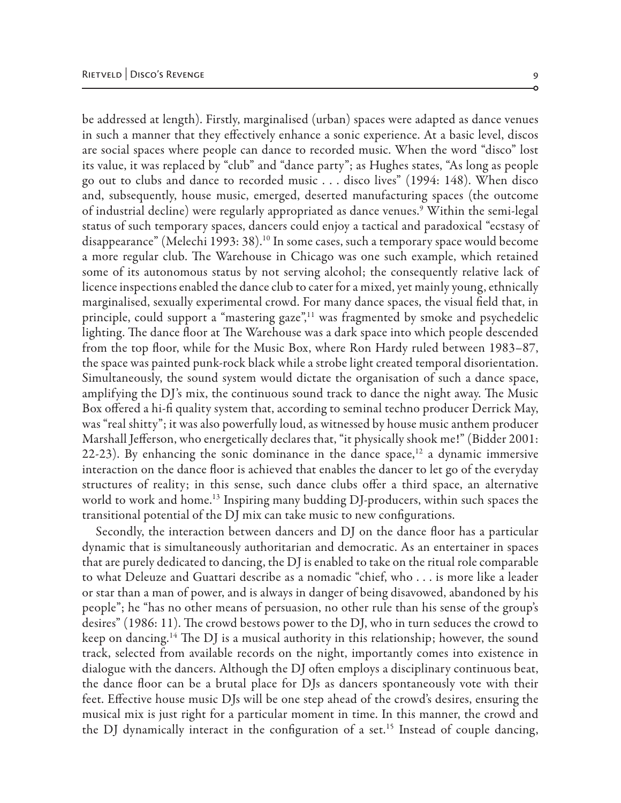be addressed at length). Firstly, marginalised (urban) spaces were adapted as dance venues in such a manner that they effectively enhance a sonic experience. At a basic level, discos are social spaces where people can dance to recorded music. When the word "disco" lost its value, it was replaced by "club" and "dance party"; as Hughes states, "As long as people go out to clubs and dance to recorded music . . . disco lives" (1994: 148). When disco and, subsequently, house music, emerged, deserted manufacturing spaces (the outcome of industrial decline) were regularly appropriated as dance venues.9 Within the semi-legal status of such temporary spaces, dancers could enjoy a tactical and paradoxical "ecstasy of disappearance" (Melechi 1993: 38).10 In some cases, such a temporary space would become a more regular club. The Warehouse in Chicago was one such example, which retained some of its autonomous status by not serving alcohol; the consequently relative lack of licence inspections enabled the dance club to cater for a mixed, yet mainly young, ethnically marginalised, sexually experimental crowd. For many dance spaces, the visual field that, in principle, could support a "mastering gaze",<sup>11</sup> was fragmented by smoke and psychedelic lighting. The dance floor at The Warehouse was a dark space into which people descended from the top floor, while for the Music Box, where Ron Hardy ruled between 1983–87, the space was painted punk-rock black while a strobe light created temporal disorientation. Simultaneously, the sound system would dictate the organisation of such a dance space, amplifying the DJ's mix, the continuous sound track to dance the night away. The Music Box offered a hi-fi quality system that, according to seminal techno producer Derrick May, was "real shitty"; it was also powerfully loud, as witnessed by house music anthem producer Marshall Jefferson, who energetically declares that, "it physically shook me!" (Bidder 2001: 22-23). By enhancing the sonic dominance in the dance space,<sup>12</sup> a dynamic immersive interaction on the dance floor is achieved that enables the dancer to let go of the everyday structures of reality; in this sense, such dance clubs offer a third space, an alternative world to work and home.<sup>13</sup> Inspiring many budding DJ-producers, within such spaces the transitional potential of the DJ mix can take music to new configurations.

Secondly, the interaction between dancers and DJ on the dance floor has a particular dynamic that is simultaneously authoritarian and democratic. As an entertainer in spaces that are purely dedicated to dancing, the DJ is enabled to take on the ritual role comparable to what Deleuze and Guattari describe as a nomadic "chief, who . . . is more like a leader or star than a man of power, and is always in danger of being disavowed, abandoned by his people"; he "has no other means of persuasion, no other rule than his sense of the group's desires" (1986: 11). The crowd bestows power to the DJ, who in turn seduces the crowd to keep on dancing.<sup>14</sup> The DJ is a musical authority in this relationship; however, the sound track, selected from available records on the night, importantly comes into existence in dialogue with the dancers. Although the DJ often employs a disciplinary continuous beat, the dance floor can be a brutal place for DJs as dancers spontaneously vote with their feet. Effective house music DJs will be one step ahead of the crowd's desires, ensuring the musical mix is just right for a particular moment in time. In this manner, the crowd and the DJ dynamically interact in the configuration of a set.<sup>15</sup> Instead of couple dancing,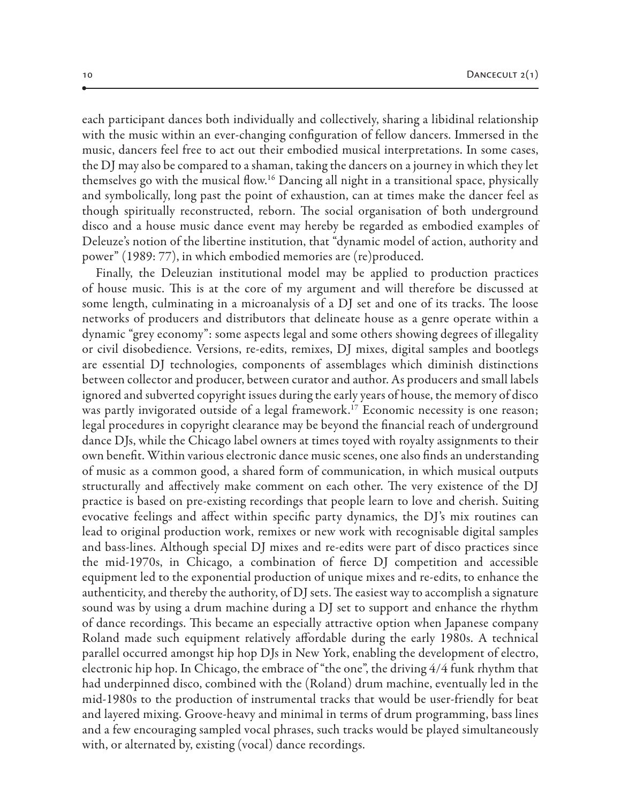each participant dances both individually and collectively, sharing a libidinal relationship with the music within an ever-changing configuration of fellow dancers. Immersed in the music, dancers feel free to act out their embodied musical interpretations. In some cases, the DJ may also be compared to a shaman, taking the dancers on a journey in which they let themselves go with the musical flow.16 Dancing all night in a transitional space, physically and symbolically, long past the point of exhaustion, can at times make the dancer feel as though spiritually reconstructed, reborn. The social organisation of both underground disco and a house music dance event may hereby be regarded as embodied examples of Deleuze's notion of the libertine institution, that "dynamic model of action, authority and power" (1989: 77), in which embodied memories are (re)produced.

Finally, the Deleuzian institutional model may be applied to production practices of house music. This is at the core of my argument and will therefore be discussed at some length, culminating in a microanalysis of a DJ set and one of its tracks. The loose networks of producers and distributors that delineate house as a genre operate within a dynamic "grey economy": some aspects legal and some others showing degrees of illegality or civil disobedience. Versions, re-edits, remixes, DJ mixes, digital samples and bootlegs are essential DJ technologies, components of assemblages which diminish distinctions between collector and producer, between curator and author. As producers and small labels ignored and subverted copyright issues during the early years of house, the memory of disco was partly invigorated outside of a legal framework.<sup>17</sup> Economic necessity is one reason; legal procedures in copyright clearance may be beyond the financial reach of underground dance DJs, while the Chicago label owners at times toyed with royalty assignments to their own benefit. Within various electronic dance music scenes, one also finds an understanding of music as a common good, a shared form of communication, in which musical outputs structurally and affectively make comment on each other. The very existence of the DJ practice is based on pre-existing recordings that people learn to love and cherish. Suiting evocative feelings and affect within specific party dynamics, the DJ's mix routines can lead to original production work, remixes or new work with recognisable digital samples and bass-lines. Although special DJ mixes and re-edits were part of disco practices since the mid-1970s, in Chicago, a combination of fierce DJ competition and accessible equipment led to the exponential production of unique mixes and re-edits, to enhance the authenticity, and thereby the authority, of DJ sets. The easiest way to accomplish a signature sound was by using a drum machine during a DJ set to support and enhance the rhythm of dance recordings. This became an especially attractive option when Japanese company Roland made such equipment relatively affordable during the early 1980s. A technical parallel occurred amongst hip hop DJs in New York, enabling the development of electro, electronic hip hop. In Chicago, the embrace of "the one", the driving 4/4 funk rhythm that had underpinned disco, combined with the (Roland) drum machine, eventually led in the mid-1980s to the production of instrumental tracks that would be user-friendly for beat and layered mixing. Groove-heavy and minimal in terms of drum programming, bass lines and a few encouraging sampled vocal phrases, such tracks would be played simultaneously with, or alternated by, existing (vocal) dance recordings.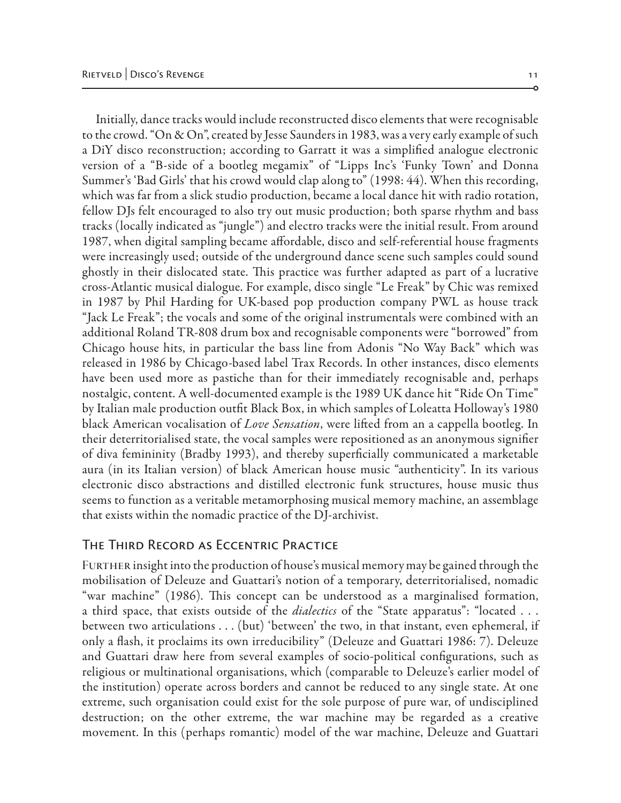Initially, dance tracks would include reconstructed disco elements that were recognisable to the crowd. "On & On", created by Jesse Saunders in 1983, was a very early example of such a DiY disco reconstruction; according to Garratt it was a simplified analogue electronic version of a "B-side of a bootleg megamix" of "Lipps Inc's 'Funky Town' and Donna Summer's 'Bad Girls' that his crowd would clap along to" (1998: 44). When this recording, which was far from a slick studio production, became a local dance hit with radio rotation, fellow DJs felt encouraged to also try out music production; both sparse rhythm and bass tracks (locally indicated as "jungle") and electro tracks were the initial result. From around 1987, when digital sampling became affordable, disco and self-referential house fragments were increasingly used; outside of the underground dance scene such samples could sound ghostly in their dislocated state. This practice was further adapted as part of a lucrative cross-Atlantic musical dialogue. For example, disco single "Le Freak" by Chic was remixed in 1987 by Phil Harding for UK-based pop production company PWL as house track "Jack Le Freak"; the vocals and some of the original instrumentals were combined with an additional Roland TR-808 drum box and recognisable components were "borrowed" from Chicago house hits, in particular the bass line from Adonis "No Way Back" which was released in 1986 by Chicago-based label Trax Records. In other instances, disco elements have been used more as pastiche than for their immediately recognisable and, perhaps nostalgic, content. A well-documented example is the 1989 UK dance hit "Ride On Time" by Italian male production outfit Black Box, in which samples of Loleatta Holloway's 1980 black American vocalisation of *Love Sensation*, were lifted from an a cappella bootleg. In their deterritorialised state, the vocal samples were repositioned as an anonymous signifier of diva femininity (Bradby 1993), and thereby superficially communicated a marketable aura (in its Italian version) of black American house music "authenticity". In its various electronic disco abstractions and distilled electronic funk structures, house music thus seems to function as a veritable metamorphosing musical memory machine, an assemblage that exists within the nomadic practice of the DJ-archivist.

#### The Third Record as Eccentric Practice

FURTHER insight into the production of house's musical memory may be gained through the mobilisation of Deleuze and Guattari's notion of a temporary, deterritorialised, nomadic "war machine" (1986). This concept can be understood as a marginalised formation, a third space, that exists outside of the *dialectics* of the "State apparatus": "located . . . between two articulations . . . (but) 'between' the two, in that instant, even ephemeral, if only a flash, it proclaims its own irreducibility" (Deleuze and Guattari 1986: 7). Deleuze and Guattari draw here from several examples of socio-political configurations, such as religious or multinational organisations, which (comparable to Deleuze's earlier model of the institution) operate across borders and cannot be reduced to any single state. At one extreme, such organisation could exist for the sole purpose of pure war, of undisciplined destruction; on the other extreme, the war machine may be regarded as a creative movement. In this (perhaps romantic) model of the war machine, Deleuze and Guattari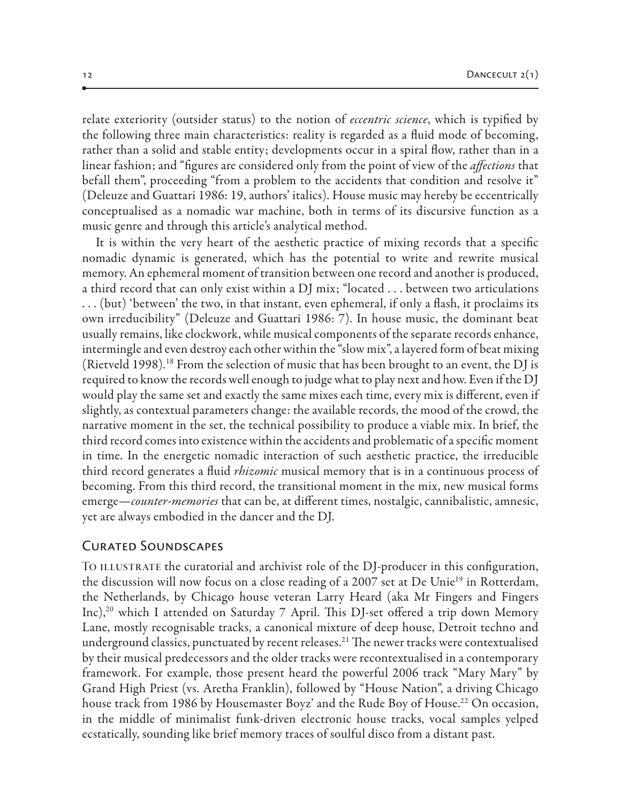relate exteriority (outsider status) to the notion of *eccentric science*, which is typified by the following three main characteristics: reality is regarded as a fluid mode of becoming, rather than a solid and stable entity; developments occur in a spiral flow, rather than in a linear fashion; and "figures are considered only from the point of view of the *affections* that befall them", proceeding "from a problem to the accidents that condition and resolve it" (Deleuze and Guattari 1986: 19, authors' italics). House music may hereby be eccentrically conceptualised as a nomadic war machine, both in terms of its discursive function as a music genre and through this article's analytical method.

It is within the very heart of the aesthetic practice of mixing records that a specific nomadic dynamic is generated, which has the potential to write and rewrite musical memory. An ephemeral moment of transition between one record and another is produced, a third record that can only exist within a DJ mix; "located . . . between two articulations  $\dots$  (but) 'between' the two, in that instant, even ephemeral, if only a flash, it proclaims its own irreducibility" (Deleuze and Guattari 1986: 7). In house music, the dominant beat usually remains, like clockwork, while musical components of the separate records enhance, intermingle and even destroy each other within the "slow mix", a layered form of beat mixing (Rietveld 1998).<sup>18</sup> From the selection of music that has been brought to an event, the DJ is required to know the records well enough to judge what to play next and how. Even if the DJ would play the same set and exactly the same mixes each time, every mix is different, even if slightly, as contextual parameters change: the available records, the mood of the crowd, the narrative moment in the set, the technical possibility to produce a viable mix. In brief, the third record comes into existence within the accidents and problematic of a specific moment in time. In the energetic nomadic interaction of such aesthetic practice, the irreducible third record generates a fluid *rhizomic* musical memory that is in a continuous process of becoming. From this third record, the transitional moment in the mix, new musical forms emerge—*counter-memories* that can be, at different times, nostalgic, cannibalistic, amnesic, yet are always embodied in the dancer and the DJ.

## Curated Soundscapes

TO ILLUSTRATE the curatorial and archivist role of the DJ-producer in this configuration, the discussion will now focus on a close reading of a 2007 set at De Unie<sup>19</sup> in Rotterdam, the Netherlands, by Chicago house veteran Larry Heard (aka Mr Fingers and Fingers Inc),20 which I attended on Saturday 7 April. This DJ-set offered a trip down Memory Lane, mostly recognisable tracks, a canonical mixture of deep house, Detroit techno and underground classics, punctuated by recent releases.<sup>21</sup> The newer tracks were contextualised by their musical predecessors and the older tracks were recontextualised in a contemporary framework. For example, those present heard the powerful 2006 track "Mary Mary" by Grand High Priest (vs. Aretha Franklin), followed by "House Nation", a driving Chicago house track from 1986 by Housemaster Boyz' and the Rude Boy of House.<sup>22</sup> On occasion, in the middle of minimalist funk-driven electronic house tracks, vocal samples yelped ecstatically, sounding like brief memory traces of soulful disco from a distant past.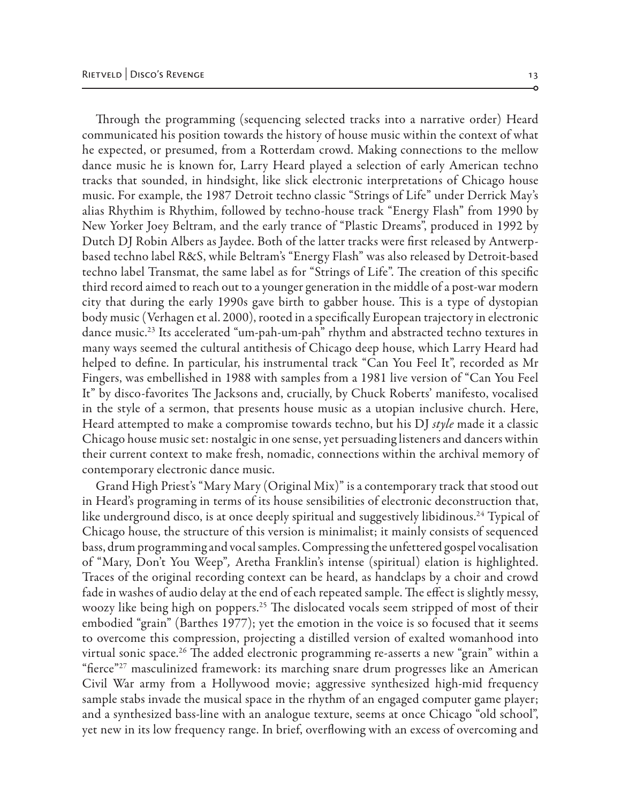Through the programming (sequencing selected tracks into a narrative order) Heard communicated his position towards the history of house music within the context of what he expected, or presumed, from a Rotterdam crowd. Making connections to the mellow dance music he is known for, Larry Heard played a selection of early American techno tracks that sounded, in hindsight, like slick electronic interpretations of Chicago house music. For example, the 1987 Detroit techno classic "Strings of Life" under Derrick May's alias Rhythim is Rhythim, followed by techno-house track "Energy Flash" from 1990 by New Yorker Joey Beltram, and the early trance of "Plastic Dreams", produced in 1992 by Dutch DJ Robin Albers as Jaydee. Both of the latter tracks were first released by Antwerpbased techno label R&S, while Beltram's "Energy Flash" was also released by Detroit-based techno label Transmat, the same label as for "Strings of Life". The creation of this specific third record aimed to reach out to a younger generation in the middle of a post-war modern city that during the early 1990s gave birth to gabber house. This is a type of dystopian body music (Verhagen et al. 2000), rooted in a specifically European trajectory in electronic dance music.<sup>23</sup> Its accelerated "um-pah-um-pah" rhythm and abstracted techno textures in many ways seemed the cultural antithesis of Chicago deep house, which Larry Heard had helped to define. In particular, his instrumental track "Can You Feel It", recorded as Mr Fingers, was embellished in 1988 with samples from a 1981 live version of "Can You Feel It" by disco-favorites The Jacksons and, crucially, by Chuck Roberts' manifesto, vocalised in the style of a sermon, that presents house music as a utopian inclusive church. Here, Heard attempted to make a compromise towards techno, but his DJ *style* made it a classic Chicago house music set: nostalgic in one sense, yet persuading listeners and dancers within their current context to make fresh, nomadic, connections within the archival memory of contemporary electronic dance music.

Grand High Priest's "Mary Mary (Original Mix)" is a contemporary track that stood out in Heard's programing in terms of its house sensibilities of electronic deconstruction that, like underground disco, is at once deeply spiritual and suggestively libidinous.<sup>24</sup> Typical of Chicago house, the structure of this version is minimalist; it mainly consists of sequenced bass, drum programming and vocal samples. Compressing the unfettered gospel vocalisation of "Mary, Don't You Weep"*,* Aretha Franklin's intense (spiritual) elation is highlighted. Traces of the original recording context can be heard, as handclaps by a choir and crowd fade in washes of audio delay at the end of each repeated sample. The effect is slightly messy, woozy like being high on poppers.<sup>25</sup> The dislocated vocals seem stripped of most of their embodied "grain" (Barthes 1977); yet the emotion in the voice is so focused that it seems to overcome this compression, projecting a distilled version of exalted womanhood into virtual sonic space.<sup>26</sup> The added electronic programming re-asserts a new "grain" within a "fierce"<sup>27</sup> masculinized framework: its marching snare drum progresses like an American Civil War army from a Hollywood movie; aggressive synthesized high-mid frequency sample stabs invade the musical space in the rhythm of an engaged computer game player; and a synthesized bass-line with an analogue texture, seems at once Chicago "old school", yet new in its low frequency range. In brief, overflowing with an excess of overcoming and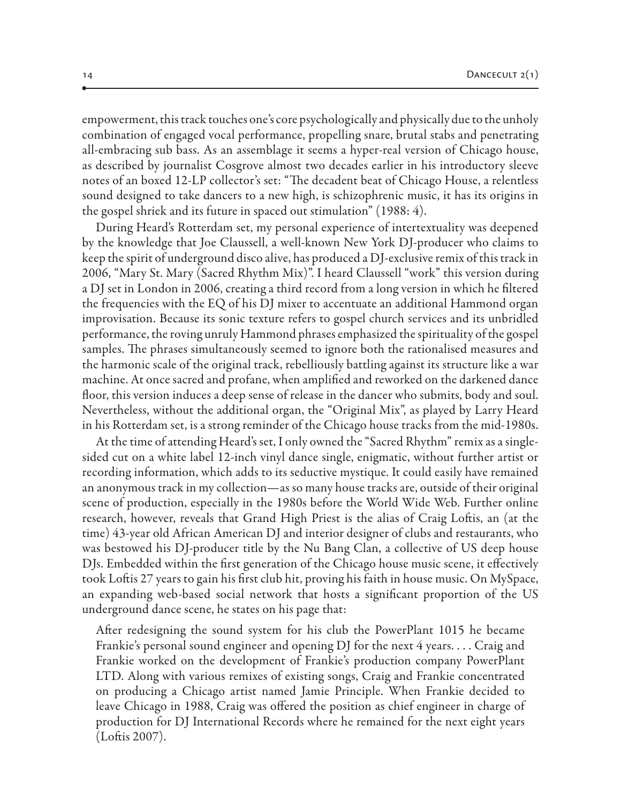empowerment, this track touches one's core psychologically and physically due to the unholy combination of engaged vocal performance, propelling snare, brutal stabs and penetrating all-embracing sub bass. As an assemblage it seems a hyper-real version of Chicago house, as described by journalist Cosgrove almost two decades earlier in his introductory sleeve notes of an boxed 12-LP collector's set: "The decadent beat of Chicago House, a relentless sound designed to take dancers to a new high, is schizophrenic music, it has its origins in the gospel shriek and its future in spaced out stimulation" (1988: 4).

During Heard's Rotterdam set, my personal experience of intertextuality was deepened by the knowledge that Joe Claussell, a well-known New York DJ-producer who claims to keep the spirit of underground disco alive, has produced a DJ-exclusive remix of this track in 2006, "Mary St. Mary (Sacred Rhythm Mix)". I heard Claussell "work" this version during a DJ set in London in 2006, creating a third record from a long version in which he filtered the frequencies with the EQ of his DJ mixer to accentuate an additional Hammond organ improvisation. Because its sonic texture refers to gospel church services and its unbridled performance, the roving unruly Hammond phrases emphasized the spirituality of the gospel samples. The phrases simultaneously seemed to ignore both the rationalised measures and the harmonic scale of the original track, rebelliously battling against its structure like a war machine. At once sacred and profane, when amplified and reworked on the darkened dance floor, this version induces a deep sense of release in the dancer who submits, body and soul. Nevertheless, without the additional organ, the "Original Mix", as played by Larry Heard in his Rotterdam set, is a strong reminder of the Chicago house tracks from the mid-1980s.

At the time of attending Heard's set, I only owned the "Sacred Rhythm" remix as a singlesided cut on a white label 12-inch vinyl dance single, enigmatic, without further artist or recording information, which adds to its seductive mystique. It could easily have remained an anonymous track in my collection—as so many house tracks are, outside of their original scene of production, especially in the 1980s before the World Wide Web. Further online research, however, reveals that Grand High Priest is the alias of Craig Loftis, an (at the time) 43-year old African American DJ and interior designer of clubs and restaurants, who was bestowed his DJ-producer title by the Nu Bang Clan, a collective of US deep house DJs. Embedded within the first generation of the Chicago house music scene, it effectively took Loftis 27 years to gain his first club hit, proving his faith in house music. On MySpace, an expanding web-based social network that hosts a significant proportion of the US underground dance scene, he states on his page that:

After redesigning the sound system for his club the PowerPlant 1015 he became Frankie's personal sound engineer and opening DJ for the next 4 years. . . . Craig and Frankie worked on the development of Frankie's production company PowerPlant LTD. Along with various remixes of existing songs, Craig and Frankie concentrated on producing a Chicago artist named Jamie Principle. When Frankie decided to leave Chicago in 1988, Craig was offered the position as chief engineer in charge of production for DJ International Records where he remained for the next eight years (Loftis 2007).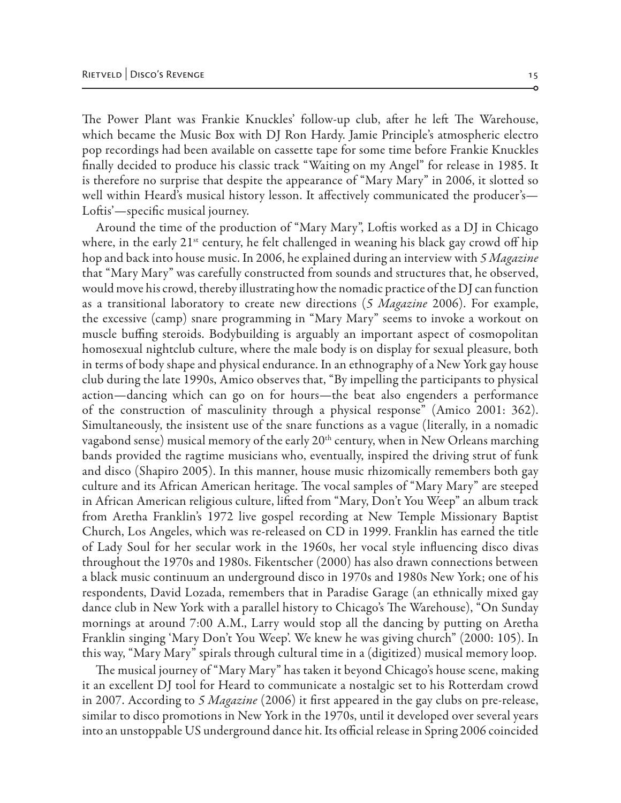The Power Plant was Frankie Knuckles' follow-up club, after he left The Warehouse, which became the Music Box with DJ Ron Hardy. Jamie Principle's atmospheric electro pop recordings had been available on cassette tape for some time before Frankie Knuckles finally decided to produce his classic track "Waiting on my Angel" for release in 1985. It is therefore no surprise that despite the appearance of "Mary Mary" in 2006, it slotted so well within Heard's musical history lesson. It affectively communicated the producer's— Loftis'—specific musical journey.

Around the time of the production of "Mary Mary", Loftis worked as a DJ in Chicago where, in the early  $21^{st}$  century, he felt challenged in weaning his black gay crowd off hip hop and back into house music. In 2006, he explained during an interview with *5 Magazine* that "Mary Mary" was carefully constructed from sounds and structures that, he observed, would move his crowd, thereby illustrating how the nomadic practice of the DJ can function as a transitional laboratory to create new directions (*5 Magazine* 2006). For example, the excessive (camp) snare programming in "Mary Mary" seems to invoke a workout on muscle buffing steroids. Bodybuilding is arguably an important aspect of cosmopolitan homosexual nightclub culture, where the male body is on display for sexual pleasure, both in terms of body shape and physical endurance. In an ethnography of a New York gay house club during the late 1990s, Amico observes that, "By impelling the participants to physical action—dancing which can go on for hours—the beat also engenders a performance of the construction of masculinity through a physical response" (Amico 2001: 362). Simultaneously, the insistent use of the snare functions as a vague (literally, in a nomadic vagabond sense) musical memory of the early  $20<sup>th</sup>$  century, when in New Orleans marching bands provided the ragtime musicians who, eventually, inspired the driving strut of funk and disco (Shapiro 2005). In this manner, house music rhizomically remembers both gay culture and its African American heritage. The vocal samples of "Mary Mary" are steeped in African American religious culture, lifted from "Mary, Don't You Weep" an album track from Aretha Franklin's 1972 live gospel recording at New Temple Missionary Baptist Church, Los Angeles, which was re-released on CD in 1999. Franklin has earned the title of Lady Soul for her secular work in the 1960s, her vocal style influencing disco divas throughout the 1970s and 1980s. Fikentscher (2000) has also drawn connections between a black music continuum an underground disco in 1970s and 1980s New York; one of his respondents, David Lozada, remembers that in Paradise Garage (an ethnically mixed gay dance club in New York with a parallel history to Chicago's The Warehouse), "On Sunday mornings at around 7:00 A.M., Larry would stop all the dancing by putting on Aretha Franklin singing 'Mary Don't You Weep'. We knew he was giving church" (2000: 105). In this way, "Mary Mary" spirals through cultural time in a (digitized) musical memory loop.

The musical journey of "Mary Mary" has taken it beyond Chicago's house scene, making it an excellent DJ tool for Heard to communicate a nostalgic set to his Rotterdam crowd in 2007. According to *5 Magazine* (2006) it first appeared in the gay clubs on pre-release, similar to disco promotions in New York in the 1970s, until it developed over several years into an unstoppable US underground dance hit. Its official release in Spring 2006 coincided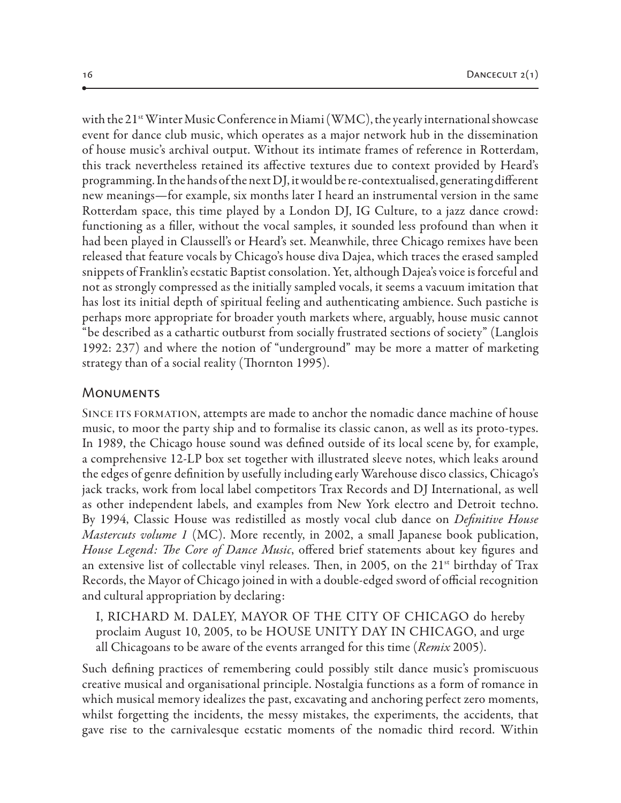with the 21<sup>st</sup> Winter Music Conference in Miami (WMC), the yearly international showcase event for dance club music, which operates as a major network hub in the dissemination of house music's archival output. Without its intimate frames of reference in Rotterdam, this track nevertheless retained its affective textures due to context provided by Heard's programming. In the hands of the next DJ, it would be re-contextualised, generating different new meanings—for example, six months later I heard an instrumental version in the same Rotterdam space, this time played by a London DJ, IG Culture, to a jazz dance crowd: functioning as a filler, without the vocal samples, it sounded less profound than when it had been played in Claussell's or Heard's set. Meanwhile, three Chicago remixes have been released that feature vocals by Chicago's house diva Dajea, which traces the erased sampled snippets of Franklin's ecstatic Baptist consolation. Yet, although Dajea's voice is forceful and not as strongly compressed as the initially sampled vocals, it seems a vacuum imitation that has lost its initial depth of spiritual feeling and authenticating ambience. Such pastiche is perhaps more appropriate for broader youth markets where, arguably, house music cannot "be described as a cathartic outburst from socially frustrated sections of society" (Langlois 1992: 237) and where the notion of "underground" may be more a matter of marketing strategy than of a social reality (Thornton 1995).

#### **MONUMENTS**

SINCE ITS FORMATION, attempts are made to anchor the nomadic dance machine of house music, to moor the party ship and to formalise its classic canon, as well as its proto-types. In 1989, the Chicago house sound was defined outside of its local scene by, for example, a comprehensive 12-LP box set together with illustrated sleeve notes, which leaks around the edges of genre definition by usefully including early Warehouse disco classics, Chicago's jack tracks, work from local label competitors Trax Records and DJ International, as well as other independent labels, and examples from New York electro and Detroit techno. By 1994, Classic House was redistilled as mostly vocal club dance on *Definitive House Mastercuts volume 1* (MC). More recently, in 2002, a small Japanese book publication, *House Legend: The Core of Dance Music*, offered brief statements about key figures and an extensive list of collectable vinyl releases. Then, in 2005, on the  $21^{st}$  birthday of Trax Records, the Mayor of Chicago joined in with a double-edged sword of official recognition and cultural appropriation by declaring:

I, RICHARD M. DALEY, MAYOR OF THE CITY OF CHICAGO do hereby proclaim August 10, 2005, to be HOUSE UNITY DAY IN CHICAGO, and urge all Chicagoans to be aware of the events arranged for this time (*Remix* 2005).

Such defining practices of remembering could possibly stilt dance music's promiscuous creative musical and organisational principle. Nostalgia functions as a form of romance in which musical memory idealizes the past, excavating and anchoring perfect zero moments, whilst forgetting the incidents, the messy mistakes, the experiments, the accidents, that gave rise to the carnivalesque ecstatic moments of the nomadic third record. Within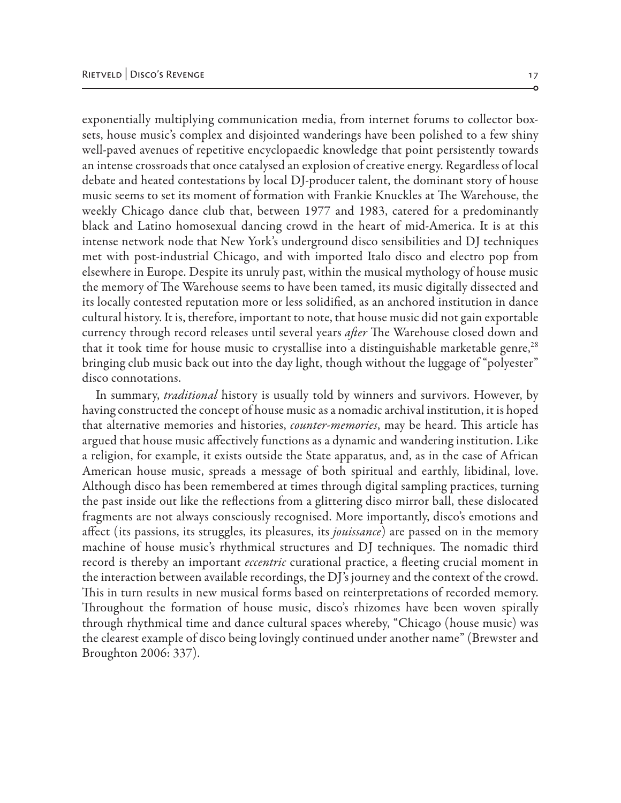exponentially multiplying communication media, from internet forums to collector boxsets, house music's complex and disjointed wanderings have been polished to a few shiny well-paved avenues of repetitive encyclopaedic knowledge that point persistently towards an intense crossroads that once catalysed an explosion of creative energy. Regardless of local debate and heated contestations by local DJ-producer talent, the dominant story of house music seems to set its moment of formation with Frankie Knuckles at The Warehouse, the weekly Chicago dance club that, between 1977 and 1983, catered for a predominantly black and Latino homosexual dancing crowd in the heart of mid-America. It is at this intense network node that New York's underground disco sensibilities and DJ techniques met with post-industrial Chicago, and with imported Italo disco and electro pop from elsewhere in Europe. Despite its unruly past, within the musical mythology of house music the memory of The Warehouse seems to have been tamed, its music digitally dissected and its locally contested reputation more or less solidified, as an anchored institution in dance cultural history. It is, therefore, important to note, that house music did not gain exportable currency through record releases until several years *after* The Warehouse closed down and that it took time for house music to crystallise into a distinguishable marketable genre,<sup>28</sup> bringing club music back out into the day light, though without the luggage of "polyester" disco connotations.

In summary, *traditional* history is usually told by winners and survivors. However, by having constructed the concept of house music as a nomadic archival institution, it is hoped that alternative memories and histories, *counter-memories*, may be heard. This article has argued that house music affectively functions as a dynamic and wandering institution. Like a religion, for example, it exists outside the State apparatus, and, as in the case of African American house music, spreads a message of both spiritual and earthly, libidinal, love. Although disco has been remembered at times through digital sampling practices, turning the past inside out like the reflections from a glittering disco mirror ball, these dislocated fragments are not always consciously recognised. More importantly, disco's emotions and affect (its passions, its struggles, its pleasures, its *jouissance*) are passed on in the memory machine of house music's rhythmical structures and DJ techniques. The nomadic third record is thereby an important *eccentric* curational practice, a fleeting crucial moment in the interaction between available recordings, the DJ's journey and the context of the crowd. This in turn results in new musical forms based on reinterpretations of recorded memory. Throughout the formation of house music, disco's rhizomes have been woven spirally through rhythmical time and dance cultural spaces whereby, "Chicago (house music) was the clearest example of disco being lovingly continued under another name" (Brewster and Broughton 2006: 337).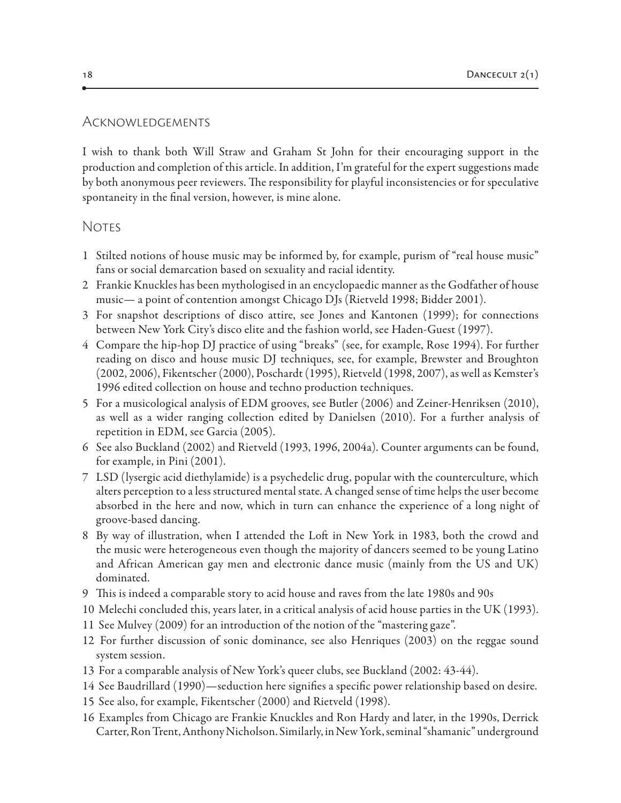#### Acknowledgements

I wish to thank both Will Straw and Graham St John for their encouraging support in the production and completion of this article. In addition, I'm grateful for the expert suggestions made by both anonymous peer reviewers. The responsibility for playful inconsistencies or for speculative spontaneity in the final version, however, is mine alone.

# Notes

- 1 Stilted notions of house music may be informed by, for example, purism of "real house music" fans or social demarcation based on sexuality and racial identity.
- 2 Frankie Knuckles has been mythologised in an encyclopaedic manner as the Godfather of house music— a point of contention amongst Chicago DJs (Rietveld 1998; Bidder 2001).
- 3 For snapshot descriptions of disco attire, see Jones and Kantonen (1999); for connections between New York City's disco elite and the fashion world, see Haden-Guest (1997).
- 4 Compare the hip-hop DJ practice of using "breaks" (see, for example, Rose 1994). For further reading on disco and house music DJ techniques, see, for example, Brewster and Broughton (2002, 2006), Fikentscher (2000), Poschardt (1995), Rietveld (1998, 2007), as well as Kemster's 1996 edited collection on house and techno production techniques.
- 5 For a musicological analysis of EDM grooves, see Butler (2006) and Zeiner-Henriksen (2010), as well as a wider ranging collection edited by Danielsen (2010). For a further analysis of repetition in EDM, see Garcia (2005).
- 6 See also Buckland (2002) and Rietveld (1993, 1996, 2004a). Counter arguments can be found, for example, in Pini (2001).
- 7 LSD (lysergic acid diethylamide) is a psychedelic drug, popular with the counterculture, which alters perception to a less structured mental state. A changed sense of time helps the user become absorbed in the here and now, which in turn can enhance the experience of a long night of groove-based dancing.
- 8 By way of illustration, when I attended the Loft in New York in 1983, both the crowd and the music were heterogeneous even though the majority of dancers seemed to be young Latino and African American gay men and electronic dance music (mainly from the US and UK) dominated.
- 9 This is indeed a comparable story to acid house and raves from the late 1980s and 90s
- 10 Melechi concluded this, years later, in a critical analysis of acid house parties in the UK (1993).
- 11 See Mulvey (2009) for an introduction of the notion of the "mastering gaze".
- 12 For further discussion of sonic dominance, see also Henriques (2003) on the reggae sound system session.
- 13 For a comparable analysis of New York's queer clubs, see Buckland (2002: 43-44).
- 14 See Baudrillard (1990)—seduction here signifies a specific power relationship based on desire.
- 15 See also, for example, Fikentscher (2000) and Rietveld (1998).
- 16 Examples from Chicago are Frankie Knuckles and Ron Hardy and later, in the 1990s, Derrick Carter, Ron Trent, Anthony Nicholson. Similarly, in New York, seminal "shamanic" underground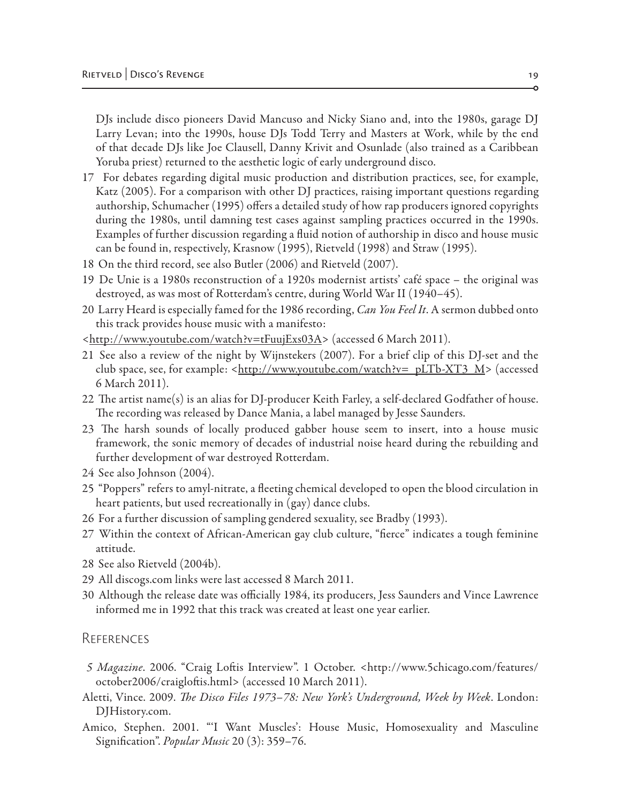DJs include disco pioneers David Mancuso and Nicky Siano and, into the 1980s, garage DJ Larry Levan; into the 1990s, house DJs Todd Terry and Masters at Work, while by the end of that decade DJs like Joe Clausell, Danny Krivit and Osunlade (also trained as a Caribbean Yoruba priest) returned to the aesthetic logic of early underground disco.

- 17 For debates regarding digital music production and distribution practices, see, for example, Katz (2005). For a comparison with other DJ practices, raising important questions regarding authorship, Schumacher (1995) offers a detailed study of how rap producers ignored copyrights during the 1980s, until damning test cases against sampling practices occurred in the 1990s. Examples of further discussion regarding a fluid notion of authorship in disco and house music can be found in, respectively, Krasnow (1995), Rietveld (1998) and Straw (1995).
- 18 On the third record, see also Butler (2006) and Rietveld (2007).
- 19 De Unie is a 1980s reconstruction of a 1920s modernist artists' café space the original was destroyed, as was most of Rotterdam's centre, during World War II (1940–45).
- 20 Larry Heard is especially famed for the 1986 recording, *Can You Feel It*. A sermon dubbed onto this track provides house music with a manifesto:
- [<http://www.youtube.com/watch?v=tFuujExs03A>](http://www.youtube.com/watch?v=tFuujExs03A) (accessed 6 March 2011).
- 21 See also a review of the night by Wijnstekers (2007). For a brief clip of this DJ-set and the club space, see, for example: <[http://www.youtube.com/watch?v=\\_pLTb-XT3\\_M](http://www.youtube.com/watch?v=_pLTb-XT3_M)> (accessed 6 March 2011).
- 22 The artist name(s) is an alias for DJ-producer Keith Farley, a self-declared Godfather of house. The recording was released by Dance Mania, a label managed by Jesse Saunders.
- 23 The harsh sounds of locally produced gabber house seem to insert, into a house music framework, the sonic memory of decades of industrial noise heard during the rebuilding and further development of war destroyed Rotterdam.
- 24 See also Johnson (2004).
- 25 "Poppers" refers to amyl-nitrate, a fleeting chemical developed to open the blood circulation in heart patients, but used recreationally in (gay) dance clubs.
- 26 For a further discussion of sampling gendered sexuality, see Bradby (1993).
- 27 Within the context of African-American gay club culture, "fierce" indicates a tough feminine attitude.
- 28 See also Rietveld (2004b).
- 29 All discogs.com links were last accessed 8 March 2011.
- 30 Although the release date was officially 1984, its producers, Jess Saunders and Vince Lawrence informed me in 1992 that this track was created at least one year earlier.

#### **REFERENCES**

- *5 Magazine*. 2006. "Craig Loftis Interview". 1 October. <http://www.5chicago.com/features/ october2006/craigloftis.html> (accessed 10 March 2011).
- Aletti, Vince. 2009. *The Disco Files 1973–78: New York's Underground, Week by Week*. London: DJHistory.com.
- Amico, Stephen. 2001. "'I Want Muscles': House Music, Homosexuality and Masculine Signification". *Popular Music* 20 (3): 359–76.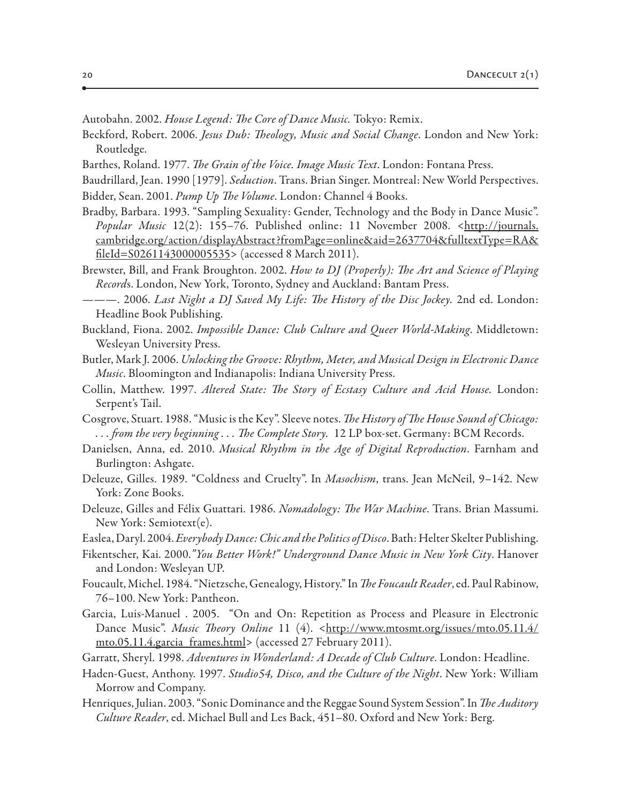Autobahn. 2002. *House Legend: The Core of Dance Music.* Tokyo: Remix.

- Beckford, Robert. 2006. *Jesus Dub: Theology, Music and Social Change*. London and New York: Routledge.
- Barthes, Roland. 1977. *The Grain of the Voice. Image Music Text*. London: Fontana Press.
- Baudrillard, Jean. 1990 [1979]. *Seduction*. Trans. Brian Singer. Montreal: New World Perspectives. Bidder, Sean. 2001. *Pump Up The Volume*. London: Channel 4 Books.
- Bradby, Barbara. 1993. "Sampling Sexuality: Gender, Technology and the Body in Dance Music". *Popular Music* 12(2): 155–76. Published online: 11 November 2008. <[http://journals.](http://journals.cambridge.org/action/displayAbstract?fromPage=online&aid=2637704&fulltextType=RA&fileId=S0261143000005535) [cambridge.org/action/displayAbstract?fromPage=online&aid=2637704&fulltextType=RA&](http://journals.cambridge.org/action/displayAbstract?fromPage=online&aid=2637704&fulltextType=RA&fileId=S0261143000005535) [fileId=S0261143000005535](http://journals.cambridge.org/action/displayAbstract?fromPage=online&aid=2637704&fulltextType=RA&fileId=S0261143000005535)> (accessed 8 March 2011).
- Brewster, Bill, and Frank Broughton. 2002. *How to DJ (Properly): The Art and Science of Playing Record*s. London, New York, Toronto, Sydney and Auckland: Bantam Press.
- ———. 2006. *Last Night a DJ Saved My Life: The History of the Disc Jockey.* 2nd ed. London: Headline Book Publishing.
- Buckland, Fiona. 2002. *Impossible Dance: Club Culture and Queer World-Making*. Middletown: Wesleyan University Press.
- Butler, Mark J. 2006. *Unlocking the Groove: Rhythm, Meter, and Musical Design in Electronic Dance Music*. Bloomington and Indianapolis: Indiana University Press.
- Collin, Matthew. 1997. *Altered State: The Story of Ecstasy Culture and Acid House.* London: Serpent's Tail.
- Cosgrove, Stuart. 1988. "Music is the Key". Sleeve notes. *The History of The House Sound of Chicago: . . . from the very beginning . . . The Complete Story.* 12 LP box-set. Germany: BCM Records.
- Danielsen, Anna, ed. 2010. *Musical Rhythm in the Age of Digital Reproduction*. Farnham and Burlington: Ashgate.
- Deleuze, Gilles. 1989. "Coldness and Cruelty". In *Masochism*, trans. Jean McNeil, 9–142. New York: Zone Books.
- Deleuze, Gilles and Félix Guattari. 1986. *Nomadology: The War Machine*. Trans. Brian Massumi. New York: Semiotext(e).
- Easlea, Daryl. 2004. *Everybody Dance: Chic and the Politics of Disco*. Bath: Helter Skelter Publishing.
- Fikentscher, Kai. 2000.*"You Better Work!" Underground Dance Music in New York City*. Hanover and London: Wesleyan UP.
- Foucault, Michel. 1984. "Nietzsche, Genealogy, History." In *The Foucault Reader*, ed. Paul Rabinow, 76–100. New York: Pantheon.
- Garcia, Luis-Manuel . 2005. "On and On: Repetition as Process and Pleasure in Electronic Dance Music". *Music Theory Online* 11 (4). [<http://www.mtosmt.org/issues/mto.05.11.4/](http://www.mtosmt.org/issues/mto.05.11.4/mto.05.11.4.garcia_frames.html) [mto.05.11.4.garcia\\_frames.html](http://www.mtosmt.org/issues/mto.05.11.4/mto.05.11.4.garcia_frames.html)> (accessed 27 February 2011).
- Garratt, Sheryl. 1998. *Adventures in Wonderland: A Decade of Club Culture*. London: Headline.
- Haden-Guest, Anthony. 1997. *Studio54, Disco, and the Culture of the Night*. New York: William Morrow and Company.
- Henriques, Julian. 2003. "Sonic Dominance and the Reggae Sound System Session". In *The Auditory Culture Reader*, ed. Michael Bull and Les Back, 451–80. Oxford and New York: Berg.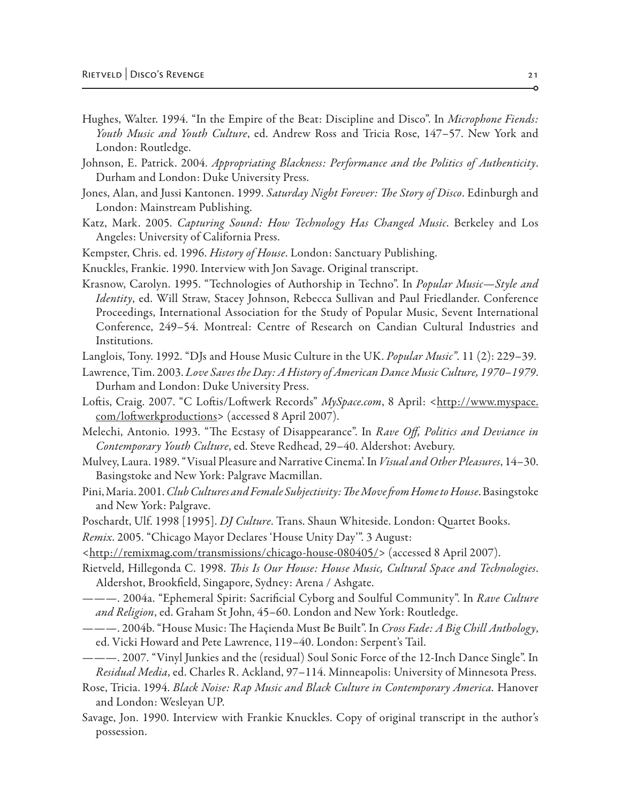- Hughes, Walter. 1994. "In the Empire of the Beat: Discipline and Disco". In *Microphone Fiends: Youth Music and Youth Culture*, ed. Andrew Ross and Tricia Rose, 147–57. New York and London: Routledge.
- Johnson, E. Patrick. 2004. *Appropriating Blackness: Performance and the Politics of Authenticity*. Durham and London: Duke University Press.
- Jones, Alan, and Jussi Kantonen. 1999. *Saturday Night Forever: The Story of Disco*. Edinburgh and London: Mainstream Publishing.
- Katz, Mark. 2005. *Capturing Sound: How Technology Has Changed Music*. Berkeley and Los Angeles: University of California Press.
- Kempster, Chris. ed. 1996. *History of House*. London: Sanctuary Publishing.
- Knuckles, Frankie. 1990. Interview with Jon Savage. Original transcript.
- Krasnow, Carolyn. 1995. "Technologies of Authorship in Techno". In *Popular Music—Style and Identity*, ed. Will Straw, Stacey Johnson, Rebecca Sullivan and Paul Friedlander. Conference Proceedings, International Association for the Study of Popular Music, Sevent International Conference, 249–54. Montreal: Centre of Research on Candian Cultural Industries and Institutions.
- Langlois, Tony. 1992. "DJs and House Music Culture in the UK. *Popular Music"*. 11 (2): 229–39.
- Lawrence, Tim. 2003. *Love Saves the Day: A History of American Dance Music Culture, 1970–1979*. Durham and London: Duke University Press.
- Loftis, Craig. 2007. "C Loftis/Loftwerk Records" *MySpace.com*, 8 April: <<u>[http://www.myspace.](http://www.myspace.com/loftwerkproductions)</u> [com/loftwerkproductions](http://www.myspace.com/loftwerkproductions)> (accessed 8 April 2007).
- Melechi, Antonio. 1993. "The Ecstasy of Disappearance". In *Rave Off, Politics and Deviance in Contemporary Youth Culture*, ed. Steve Redhead, 29–40. Aldershot: Avebury.
- Mulvey, Laura. 1989. "Visual Pleasure and Narrative Cinema'. In *Visual and Other Pleasures*, 14–30. Basingstoke and New York: Palgrave Macmillan.
- Pini, Maria. 2001. *Club Cultures and Female Subjectivity: The Move from Home to House*. Basingstoke and New York: Palgrave.
- Poschardt, Ulf. 1998 [1995]. *DJ Culture*. Trans. Shaun Whiteside. London: Quartet Books.

*Remix*. 2005. "Chicago Mayor Declares 'House Unity Day'". 3 August:

- [<http://remixmag.com/transmissions/chicago-house-080405/](http://remixmag.com/transmissions/chicago-house-080405/)> (accessed 8 April 2007).
- Rietveld, Hillegonda C. 1998. *This Is Our House: House Music, Cultural Space and Technologies*. Aldershot, Brookfield, Singapore, Sydney: Arena / Ashgate.
- ———. 2004a. "Ephemeral Spirit: Sacrificial Cyborg and Soulful Community". In *Rave Culture and Religion*, ed. Graham St John, 45–60. London and New York: Routledge.
- ———. 2004b. "House Music: The Haçienda Must Be Built". In *Cross Fade: A Big Chill Anthology*, ed. Vicki Howard and Pete Lawrence, 119–40. London: Serpent's Tail.
- ———. 2007. "Vinyl Junkies and the (residual) Soul Sonic Force of the 12-Inch Dance Single". In *Residual Media*, ed. Charles R. Ackland, 97–114. Minneapolis: University of Minnesota Press.
- Rose, Tricia. 1994. *Black Noise: Rap Music and Black Culture in Contemporary America.* Hanover and London: Wesleyan UP.
- Savage, Jon. 1990. Interview with Frankie Knuckles. Copy of original transcript in the author's possession.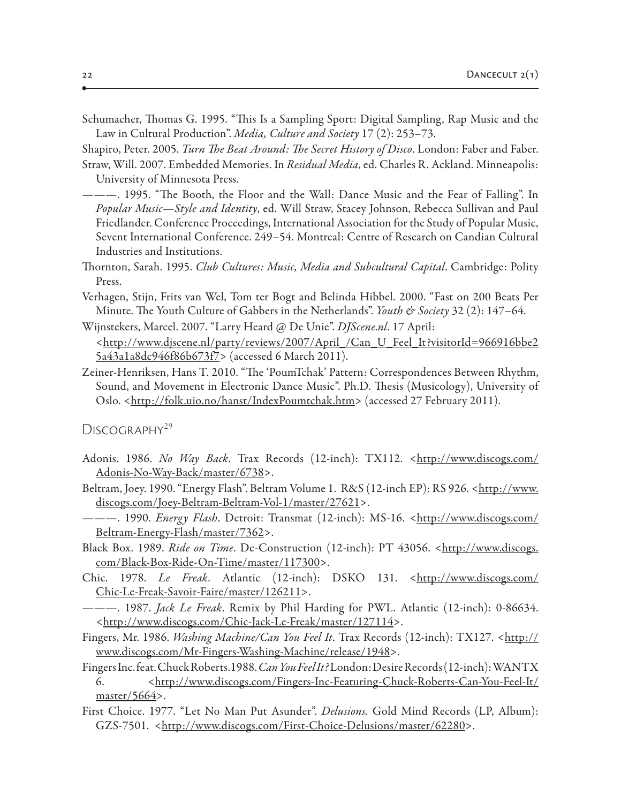Schumacher, Thomas G. 1995. "This Is a Sampling Sport: Digital Sampling, Rap Music and the Law in Cultural Production". *Media, Culture and Society* 17 (2): 253–73.

Shapiro, Peter. 2005. *Turn The Beat Around: The Secret History of Disco*. London: Faber and Faber. Straw, Will. 2007. Embedded Memories. In *Residual Media*, ed. Charles R. Ackland. Minneapolis:

University of Minnesota Press.

- ———. 1995. "The Booth, the Floor and the Wall: Dance Music and the Fear of Falling". In *Popular Music—Style and Identity*, ed. Will Straw, Stacey Johnson, Rebecca Sullivan and Paul Friedlander. Conference Proceedings, International Association for the Study of Popular Music, Sevent International Conference. 249–54. Montreal: Centre of Research on Candian Cultural Industries and Institutions.
- Thornton, Sarah. 1995. *Club Cultures: Music, Media and Subcultural Capital*. Cambridge: Polity Press.
- Verhagen, Stijn, Frits van Wel, Tom ter Bogt and Belinda Hibbel. 2000. "Fast on 200 Beats Per Minute. The Youth Culture of Gabbers in the Netherlands". *Youth & Society* 32 (2): 147–64.
- Wijnstekers, Marcel. 2007. "Larry Heard @ De Unie". *DJScene.nl*. 17 April: <[http://www.djscene.nl/party/reviews/2007/April\\_/Can\\_U\\_Feel\\_It?visitorId=966916bbe2](http://www.djscene.nl/party/reviews/2007/April_/Can_U_Feel_It?visitorId=966916bbe25a43a1a8dc946f86b673f7) [5a43a1a8dc946f86b673f7>](http://www.djscene.nl/party/reviews/2007/April_/Can_U_Feel_It?visitorId=966916bbe25a43a1a8dc946f86b673f7) (accessed 6 March 2011).
- Zeiner-Henriksen, Hans T. 2010. "The 'PoumTchak' Pattern: Correspondences Between Rhythm, Sound, and Movement in Electronic Dance Music". Ph.D. Thesis (Musicology), University of Oslo. <<http://folk.uio.no/hanst/IndexPoumtchak.htm>> (accessed 27 February 2011).

DISCOGRAPHY<sup>29</sup>

- Adonis. 1986. *No Way Back*. Trax Records (12-inch): TX112. <[http://www.discogs.com/](http://www.discogs.com/Adonis-No-Way-Back/master/6738) [Adonis-No-Way-Back/master/6738](http://www.discogs.com/Adonis-No-Way-Back/master/6738)>.
- Beltram, Joey. 1990. "Energy Flash". Beltram Volume 1. R&S (12-inch EP): RS 926. <<u>[http://www.](http://www.discogs.com/Joey-Beltram-Beltram-Vol-1/master/27621)</u> [discogs.com/Joey-Beltram-Beltram-Vol-1/master/27621>](http://www.discogs.com/Joey-Beltram-Beltram-Vol-1/master/27621).
- ———. 1990. *Energy Flash*. Detroit: Transmat (12-inch): MS-16. <[http://www.discogs.com/](http://www.discogs.com/Beltram-Energy-Flash/master/7362) [Beltram-Energy-Flash/master/7362](http://www.discogs.com/Beltram-Energy-Flash/master/7362)>.
- Black Box. 1989. *Ride on Time*. De-Construction (12-inch): PT 43056. <[http://www.discogs.](http://www.discogs.com/Black-Box-Ride-On-Time/master/117300) [com/Black-Box-Ride-On-Time/master/117300>](http://www.discogs.com/Black-Box-Ride-On-Time/master/117300).
- Chic. 1978. *Le Freak*. Atlantic (12-inch): DSKO 131. <[http://www.discogs.com/](http://www.discogs.com/Chic-Le-Freak-Savoir-Faire/master/126211) [Chic-Le-Freak-Savoir-Faire/master/126211>](http://www.discogs.com/Chic-Le-Freak-Savoir-Faire/master/126211).
- ———. 1987. *Jack Le Freak*. Remix by Phil Harding for PWL. Atlantic (12-inch): 0-86634. <[http://www.discogs.com/Chic-Jack-Le-Freak/master/127114>](http://www.discogs.com/Chic-Jack-Le-Freak/master/127114).
- Fingers, Mr. 1986. *Washing Machine/Can You Feel It*. Trax Records (12-inch): TX127. <[http://](http://www.discogs.com/Mr-Fingers-Washing-Machine/release/1948) [www.discogs.com/Mr-Fingers-Washing-Machine/release/1948>](http://www.discogs.com/Mr-Fingers-Washing-Machine/release/1948).
- Fingers Inc. feat. Chuck Roberts.1988. *Can You Feel It?* London: Desire Records (12-inch): WANTX 6. <[http://www.discogs.com/Fingers-Inc-Featuring-Chuck-Roberts-Can-You-Feel-It/](http://www.discogs.com/Fingers-Inc-Featuring-Chuck-Roberts-Can-You-Feel-It/master/5664) [master/5664](http://www.discogs.com/Fingers-Inc-Featuring-Chuck-Roberts-Can-You-Feel-It/master/5664)>.
- First Choice. 1977. "Let No Man Put Asunder". *Delusions.* Gold Mind Records (LP, Album): GZS-7501. [<http://www.discogs.com/First-Choice-Delusions/master/62280>](http://www.discogs.com/First-Choice-Delusions/master/62280).